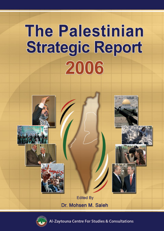# **The Palestinian Strategic Report** 2006





Zaytouna Centre For Studies & Consultations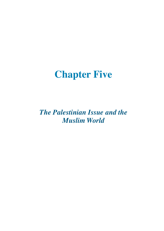# **Chapter Five**

*The Palestinian Issue and the Muslim World*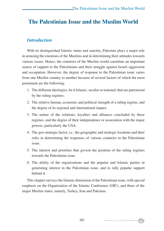### **The Palestinian Issue and the Muslim World**

#### *Introduction*

With its distinguished Islamic status and sanctity, Palestine plays a major role in arousing the emotions of the Muslims and in determining their attitudes towards various issues. Hence, the countries of the Muslim world constitute an important source of support to the Palestinians and their struggle against Israeli aggression and occupation. However, the degree of response to the Palestinian issue varies from one Muslim country to another because of several factors of which the most prominent are the following:

- 1. The different ideologies, be it Islamic, secular or national, that are patronized by the ruling regimes.
- 2. The relative human, economic and political strength of a ruling regime, and the degree of its regional and international impact.
- 3. The nature of the relations, loyalties and alliances concluded by these regimes, and the degree of their independence or association with the major powers, particularly the USA.
- 4. The geo-strategic factor, i.e., the geographic and strategic locations and their roles in determining the responses of various countries to the Palestinian issue.
- 5. The interest and priorities that govern the position of the ruling regimes towards the Palestinian issue.
- 6. The ability of the organizations and the popular and Islamic parties in generating interest in the Palestinian issue, and to rally popular support behind it.

This chapter surveys the Islamic dimension of the Palestinian issue, with special emphasis on the Organization of the Islamic Conference (OIC), and three of the major Muslim states, namely, Turkey, Iran and Pakistan.

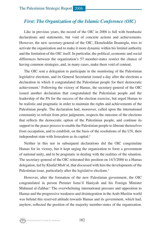#### *First: The Organization of the Islamic Conference (OIC)*

Like in previous years, the record of the OIC in 2006 is full with bombastic declarations and statements, but void of concrete actions and achievements. However, the new secretary-general of the OIC, Ekmeleddin Ihsanoglu, tries to activate the organization and to make it more dynamic within his limited authority and the limitation of the OIC itself. In particular, the political, economic and social differences between the organization's 57 member-states restrict the chance of having common strategies, and, in many cases, make them void of content.

The OIC sent a delegation to participate in the monitoring of the Palestinian legislative elections, and its General Secretariat issued a day after the elections a declaration in which it congratulated the Palestinian people for their democratic achievement.1 Following the victory of Hamas, the secretary-general of the OIC issued another declaration that congratulated the Palestinian people and the leadership of the PA for the success of the election exercise, but urged Hamas to be realistic and pragmatic in order to maintain the rights and achievements of the Palestinian people. The declaration had, moreover, called upon the international community to refrain from prior judgments, respects the outcome of the elections that reflects the democratic option of the Palestinian people, and continue its support to the peace process to enable the Palestinian people to liberate themselves from occupation, and to establish, on the basis of the resolutions of the UN, their independent state with Jerusalem as its capital.<sup>2</sup>

Neither in this nor in subsequent declarations did the OIC congratulate Hamas for its victory, but it kept urging the organization to form a government of national unity, and to be pragmatic in dealing with the realities of the situation. The secretary-general of the OIC reiterated this position on 14/3/2006 to a Hamas delegation, led by Khalid Mish'al, that discussed with him the developments of the Palestinian issue, particularly after the legislative elections.<sup>3</sup>

However, after the formation of the new Palestinian government, the OIC congratulated in person Premier Isma'il Haniyah and his Foreign Minister Mahmud al-Zahhar.<sup>4</sup> The overwhelming international pressure and opposition to Hamas and the progressive weakness and disintegration in the Arab-Muslim world was behind this reserved attitude towards Hamas and its government, which had, anyhow, reflected the position of the majority member-states of the organization.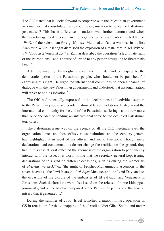The OIC stated that it "looks forward to cooperate with the Palestinian government in a manner that consolidate the role of the organization to serve the Palestinian just cause."5 This basic difference in outlook was further demonstrated when the secretary-general received in the organization's headquarters in Jeddah on 19/4/2006 the Palestinian Foreign Minister Mahmud al-Zahhar who was in his first Arab tour. While Ihsanoglu dismissed the explosion of a restaurant in Tel Aviv on 17/4/2006 as a "terrorist act," al-Zahhar described the operation "a legitimate right of the Palestinians," and a source of "pride to any person struggling to liberate his land."6

After the meeting, Ihsanoglu renewed the OIC demand of respect to the democratic option of the Palestinian people, who should not be punished for exercising this right. He urged the international community to open a channel of dialogue with the new Palestinian government, and undertook that his organization will strive to end its isolation.<sup>7</sup>

The OIC had repeatedly expressed, in its declarations and activities, support to the Palestinian people and condemnation of Israeli violations. It also asked the international community for the end of the Palestinian sufferings, and threw more than once the idea of sending an international force to the occupied Palestinian territories.

The Palestinian issue was on the agenda of all the OIC meetings, even the organizational ones, and those of its various institutions, and the secretary-general had highlighted it in most of his official and social functions. Though mere declarations and condemnations do not change the realities on the ground, they had in this case at least reflected the keenness of the organization to permanently interact with the issue. It is worth noting that the secretary-general kept issuing declarations of this kind on different occasions, such as during the memorials of *al-Israa' wa al-Mi'raj* (the night of Prophet Muhammad's ascension to the seven heavens), the Jewish arson of *al-Aqsa* Mosque, and the Land Day, and on the occasions of the closure of the embassies of El Salvador and Venezuela in Jerusalem. Such declarations were also issued on the release of some kidnapped journalists, and on the blockade imposed on the Palestinian people and the general misery that it generated...<sup>8</sup>

During the summer of 2006, Israel launched a major military operation in GS in retaliation for the kidnapping of the Israeli soldier Gilad Shalit, and under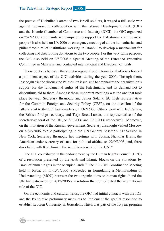the pretext of Hizbullah's arrest of two Israeli soldiers, it waged a full-scale war against Lebanon. In collaboration with the Islamic Development Bank (IDB) and the Islamic Chamber of Commerce and Industry (ICCI), the OIC organized on 25/7/2006 a humanitarian campaign to support the Palestinian and Lebanese people.9 It also held on 1/8/2006 an emergency meeting of all the humanitarian and philanthropic relief institutions working in Istanbul to develop a mechanism for collecting and distributing donations to the two people. For this very same purpose, the OIC also held on 3/8/2006 a Special Meeting of the Extended Executive Committee in Malaysia, and contacted international and European officials.

These contacts between the secretary-general and international officials formed a prominent aspect of the OIC activities during the year 2006. Through them, Ihsanoglu tried to discuss the Palestinian issue, and to emphasize the organization's support for the fundamental rights of the Palestinians, and its demand not to discontinue aid to them. Amongst those important meetings was the one that took place between Secretary Ihsanoglu and Javier Solana, EU high representative for the Common Foreign and Security Policy (CFSP), on the occasion of the latter's visit to the OIC headquarters on 13/2/2006. Others were with Jack Straw, the British foreign secretary, and Terje Roed-Larsen, the representative of the secretary-general of the UN, on 8/3/2006 and 19/3/2006 respectively. Moreover, on the invitation of the Russian government, Secretary Ihsanoglu visited Moscow on  $7-8/6/2006$ . While participating in the UN General Assembly  $61<sup>st</sup>$  Session in New York, Secretary Ihsanoglu had meetings with Solana, Nicholas Burns, the American under secretary of state for political affairs, on 22/9/2006, and, three days later, with Kofi Annan, the secretary-general of the UN.<sup>10</sup>

The OIC contributed in the endorsement by the Human Rights Council (HRC) of a resolution presented by the Arab and Islamic blocks on the violations by Israel of human rights in the occupied lands.11 The OIC-UN Coordination Meeting held in Rabat on 11-13/7/2006, succeeded in formulating a Memorandum of Understanding (MOU) between the two organizations on human rights, $12$  and the UN had patronized on 4/12/2006 a resolution that consolidated the international role of the OIC.

On the economic and cultural fields, the OIC had initial contacts with the IDB and the PA to take preliminary measures to implement the special resolution to establish *al-Aqsa* University in Jerusalem, which was part of the 10 year program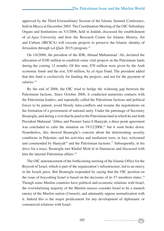approved by the Third Extraordinary Session of the Islamic Summit Conference, held in Mecca in December 2005. The Coordination Meeting of the OIC Subsidiary Organs and Institutions on 5/3/2006, held in Jeddah, discussed the establishment of *al-Aqsa* University and how the Research Centre for Islamic History, Art and Culture (IRCICA) will execute projects to preserve the Islamic identity of Jerusalem through (*al-Quds* 2015) program.13

On 1/6/2006, the president of the IDB, Ahmad Muhammad 'Ali, declared the allocation of \$100 million to establish some vital projects in the Palestinian lands during the coming 12 months. Of this sum, \$70 million were given by the Arab economic funds and the rest, \$30 million, by *al-Aqsa* Fund. The president added that this fund is exclusively for funding the projects, and not for the payment of salaries.<sup>14</sup>

By the end of 2006, the OIC tried to bridge the widening gap between the Palestinian factions. Since October 2006, it conducted numerous contacts with the Palestinian leaders, and repeatedly called the Palestinian factions and political forces to be patient, avoid bloody intra-conflicts and resume the negotiations on the formation of a government of national unity. Under the patronage of Secretary Ihsanoglu, and during a visit that he paid to the Palestinian land in which he met both President Mahmud 'Abbas and Premier Isma'il Haniyah, a three-point agreement was concluded to calm the situation on  $19/12/2006$ ,<sup>15</sup> but it soon broke down. Nonetheless, this showed Ihsanoglu's concern about the deteriorating security conditions in Palestine, and his activities and mediation were, in fact, welcomed and commended by Haniyah<sup>16</sup> and the Palestinian factions.<sup>17</sup> Subsequently, in his drive for a truce, Ihsanoglu met Khalid Mish'al in Damascus and discussed with him the internal Palestinian affairs.<sup>18</sup>

The OIC announcement of the forthcoming meeting of the Islamic Office for the Boycott of Israel, which is part of the organization's infrastructure, led to an outcry in the Israeli press. But Ihsanoglu responded by saying that the OIC position on the issue of boycotting Israel is based on the decisions of its 57 members-states.19 Though some Muslim countries have political and economic relations with Israel, the overwhelming majority of the Muslim masses consider Israel to be a staunch enemy of the Muslim nation (*Ummah*), and adamantly oppose normalization with it. Indeed this is the major predicament for any development of diplomatic or commercial relations with Israel.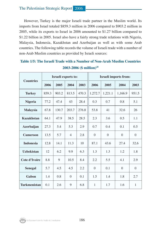However, Turkey is the major Israeli trade partner in the Muslim world. Its imports from Israel totaled \$859.3 million in 2006 compared to \$903.2 million in 2005, while its exports to Israel in 2006 amounted to \$1.27 billion compared to \$1.22 billion in 2005. Israel also have a fairly strong trade relations with Nigeria, Malaysia, Indonesia, Kazakhstan and Azerbaijan as well as with some Arab countries. The following table records the volume of Israeli trade with a number of non-Arab Muslim countries as provided by Israeli sources:

| <b>Countries</b>    | Israeli exports to: |       |                |       | <b>Israeli imports from:</b> |          |          |              |
|---------------------|---------------------|-------|----------------|-------|------------------------------|----------|----------|--------------|
|                     | 2006                | 2005  | 2004           | 2003  | 2006                         | 2005     | 2004     | 2003         |
| <b>Turkey</b>       | 859.3               | 903.2 | 813.5          | 470.3 | 1,272.7                      | 1,221.1  | 1,166.9  | 951.5        |
| <b>Nigeria</b>      | 77.2                | 47.4  | 43             | 28.4  | 0.3                          | 0.7      | 0.8      | 5.1          |
| <b>Malaysia</b>     | 67.8                | 130.7 | 203.7          | 276.8 | 53.8                         | 41       | 32.6     | 26           |
| <b>Kazakhstan</b>   | 64.1                | 47.9  | 38.5           | 28.5  | 2.3                          | 3.6      | 0.5      | 1.1          |
| <b>Azerbaijan</b>   | 27.3                | 5.4   | 5.3            | 2.9   | 0.7                          | 0.4      | 0.1      | 0.5          |
| <b>Cameroon</b>     | 13.5                | 5.7   | $\overline{4}$ | 2.8   | $\theta$                     | $\theta$ | $\Omega$ | $\theta$     |
| <b>Indonesia</b>    | 12.8                | 14.1  | 11.3           | 10    | 87.1                         | 43.6     | 27.4     | 32.6         |
| <b>Uzbekistan</b>   | 12                  | 6.2   | 9.9            | 6.3   | 1.3                          | 1.3      | 1.2      | 1.8          |
| Cote d'Ivoire       | 8.8                 | 9     | 10.5           | 8.4   | 2.2                          | 5.5      | 4.1      | 2.9          |
| <b>Senegal</b>      | 5.7                 | 4.5   | 4.5            | 2.2   | $\overline{0}$               | 0.1      | $\Omega$ | $\theta$     |
| Gabon               | 1.4                 | 0.8   | $\Omega$       | 0.1   | 1.5                          | 1.4      | 1.8      | 2.7          |
| <b>Turkmenistan</b> | 0.1                 | 2.6   | 9              | 6.8   | 1                            | 1.7      | 1.6      | $\mathbf{1}$ |

#### **Table 1/5: The Israeli Trade with a Number of Non-Arab Muslim Countries 2003-2006 (\$ million)20**

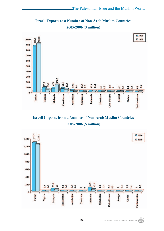**Israeli Exports to a Number of Non-Arab Muslim Countries 2005-2006 (\$ million)**



**Israeli Imports from a Number of Non-Arab Muslim Countries 2005-2006 (\$ million)**

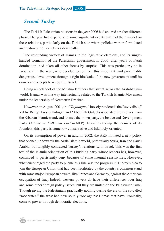#### *Second: Turkey*

The Turkish-Palestinian relations in the year 2006 had entered a rather different phase. The year had experienced some significant events that had their impact on these relations, particularly on the Turkish side where policies were reformulated and restructured, sometimes drastically.

The resounding victory of Hamas in the legislative elections, and its singlehanded formation of the Palestinian government in 2006, after years of Fatah domination, had taken all other forces by surprise. This was particularly so in Israel and in the west, who decided to confront this important, and presumably dangerous, development through a tight blockade of the new government until its crawls and accepts to recognize Israel.

Being an offshoot of the Muslim Brothers that swept across the Arab-Muslim world, Hamas was in a way intellectually related to the Turkish Islamic Movement under the leadership of Necmettin Erbakan.

However, in August 2001, the "*Tajdidiyun*," loosely rendered "the Revivalists," led by Recep Tayyip Erdogan and 'Abdullah Gul, disassociated themselves from the Erbakan Islamic trend, and formed their own party, the Justice and Development Party (*Adalet ve Kalkinma Partisi*-AKP). Notwithstanding the denials of its founders, this party is somehow conservative and Islamicly-oriented.

On its assumption of power in autumn 2002, the AKP initiated a new policy that opened up towards the Arab-Islamic world, particularly Syria, Iran and Saudi Arabia, but tangibly contracted Turkey's relations with Israel. This was the first test of the Islamic orientation of this budding party whose leaders has, however, continued to persistently deny because of some internal sensitivities. However, what encouraged the party to pursue this line was the progress in Turkey's plea to join the European Union that had been facilitated by the country's common stand with some major European powers, like France and Germany, against the American occupation of Iraq. Indeed, western powers do have their differences over Iraq and some other foreign policy issues, but they are united on the Palestinian issue. Though giving the Palestinians practically nothing during the era of the so-called "moderates," the west had now solidly rose against Hamas that have, ironically, come to power through democratic elections.

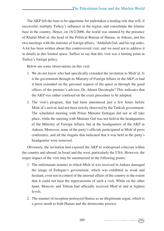The AKP felt the time to be opportune for undertaken a leading role that will, if successful, multiply Turkey's influence in the region, and consolidate the Islamic base in the country. Hence, on 16/2/2006, the world was stunned by the presence of Khalid Mish'al, the head of the Political Bureau of Hamas, in Ankara, and his two meetings with the minister of foreign affairs, 'Abdullah Gul, and his top aides. A lot has been written about this controversial visit, and we need not to address it in details in this limited space. Suffice to say that this visit was a turning point in Turkey's foreign policy.

Below are some observations on this visit:

- 1. We do not know who had specifically extended the invitation to Mish'al. Is it the government through its Ministry of Foreign Affairs or the AKP, or had it been extended on the personal request of the quest or through the good offices of the premier's advisor, Dr. Ahmet Davutoglu? This indicates that the AKP was rather confused on the exact procedure to be adopted.
- 2. The visit's program, that had been announced just a few hours before Mish'al's arrival, had not been strictly observed by the Turkish government. The scheduled meeting with Prime Minister Erdogan did not at all take place, while the meeting with Minister Gul was not held at the headquarters of the Ministry of Foreign Affairs, but at the headquarters of the AKP in Ankara. Moreover, none of the party's officials participated in Mish'al press conference, and all the slogans that indicated that it was held in the party's headquarter were removed.

Obviously, the invitation had exposed the AKP to widespread criticism within the country and abroad, in Israel and the west, particularly the USA. However, the major impact of the visit may be summarized in the following points:

- 1. The unfortunate manner in which Mish'al was received in Ankara damaged the image of Erdogan's government, which was exhibited as weak and hesitant, even not in control of the internal affairs of the country to the extent that it could not bear the repercussions of such a visit. While on the other hand, Moscow and Tehran had officially received Mish'al and at highest levels.
- 2. The manner of reception portrayed Hamas as an illegitimate organ, which is a grave insult to both Hamas and the democratic process.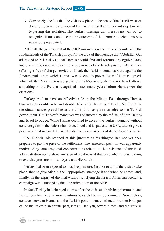3. Conversely, the fact that the visit took place at the peak of the Israeli-western drive to tighten the isolation of Hamas is in itself an important step towards bypassing this isolation. The Turkish message that there is no way but to recognize Hamas and accept the outcome of the democratic elections was somehow propagated.

All in all, the government of the AKP was in this respect in conformity with the fundamentals of the Turkish policy. For the crux of the message that 'Abdullah Gul addressed to Mish'al was that Hamas should first and foremost recognize Israel and discard violence, which is the very essence of the Israeli position. Apart from offering a free of charge service to Israel, the Turkish demands were against the fundamentals upon which Hamas was elected to power. Even if Hamas agreed, what will the Palestinian issue get in return? Moreover, why had not Israel offered something to the PA that recognized Israel many years before Hamas won the elections?

Turkey tried to have an effective role in the Middle East through Hamas, thus was its double role and double talk with Hamas and Israel. No doubt, in the circumstances prevailing at the time, this has given an edge to the Turkish government. But Turkey's maneuver was obstructed by the refusal of both Hamas and Israel to budge. While Hamas declined to accept the Turkish demand without concrete gains to the Palestinian issue, Israel and its patron, the USA, did not give a positive signal in case Hamas retreats from some aspects of its political discourse.

The Turkish role stopped at this juncture as Washington has not yet been prepared to pay the price of the settlement. The American position was apparently motivated by some regional considerations related to the insistence of the Bush administration not to show any sign of weakness at that time when it was striving to exercise pressure on Iran, Syria and Hizbullah.

Turkey had been exposed to massive pressure, first not to allow the visit to take place, then to give Mish'al the "appropriate" message if and when he comes, and, finally, on the expiry of the visit without satisfying the Israeli-American agenda, a campaign was launched against the orientation of the AKP.

In fact, Turkey had changed course after the visit, and both its government and institutions had become more cautious towards Hamas government. Nonetheless, contacts between Hamas and the Turkish government continued. Premier Erdogan called his Palestinian counterpart, Isma'il Haniyah, several times, and the Turkish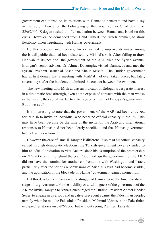government capitalized on its relations with Hamas to penetrate and have a say in the region. Hence, on the kidnapping of the Israeli soldier Gilad Shalit, on 25/6/2006, Erdogan rushed to offer mediation between Hamas and Israel on this crisis. However, he demanded from Ehud Olmert, the Israeli premier, to show flexibility when negotiating with Hamas government.<sup>21</sup>

By this proposed intermediary, Turkey wanted to improve its image among the Israeli public that had been distorted by Mish'al's visit. After failing to draw Haniyah to its position, the government of the AKP tried the Syrian avenue. Erdogan's senior advisor, Dr. Ahmet Davutoglu, visited Damascus and met the Syrian President Bashar al-Assad and Khalid Mish'al. The Turkish government had at first denied that a meeting with Mish'al had ever taken place, but later, several days after the incident, it admitted the contact between the two men.

The new meeting with Mish'al was an indicator of Erdogan's desperate interest in a diplomatic breakthrough, even at the expose of contacts with the man whose earlier visit to the capital had led to a, barrage of criticism of Erdogan's government. But to no avail.

It is interesting to note that the government of the AKP had been criticized for its rush to invite an individual who bears no official capacity in the PA. This may have been because by the time of the invitation the Arab and international responses to Hamas had not been clearly specified, and that Hamas government had not yet been formed.

However, the case of Isma'il Haniyah is different. In spite of his official capacity earned through democratic elections, the Turkish government never extended to him an official invitation to visit Ankara since his assumption of the premiership on 21/2/2006, and throughout the year 2006. Perhaps the government of the AKP did not have the stamina for another confrontation with Washington and Israel, particularly after the serious repercussions of Mish'al's visit had become visible, and the application of the blockade on Hamas' government gained momentum.

But this development hampered the struggle of Hamas to end the American-Israeli siege of its government. For the inability or unwillingness of the government of the AKP to invite Haniyah to Ankara encouraged the Turkish President Ahmet Necdet Sezer, to engage in a serious and negative precedent against the Palestinian people, namely when he met the Palestinian President Mahmud 'Abbas in the Palestinian occupied territories on 7-8/6/2006, but without seeing Premier Haniyah.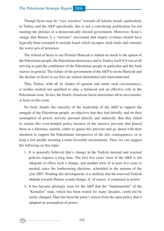Though Sezer may be "very sensitive" towards all Islamic trends, particularly in Turkey and the AKP specifically, this is not a convincing justification for not meeting the premier of a democratically elected government. Moreover, Sezer's charge that Hamas is a "terrorist" movement that targets civilians should have logically been extended to include Israel which occupies Arab lands and commits the worst acts of terrorism.

The refusal of Sezer to see Premier Haniyah is indeed an insult to the option of the Palestinian people, the Palestinian democracy and to Turkey itself if it was at all striving to gain the confidence of the Palestinian people in particular and the Arab masses in general. The failure of the government of the AKP to invite Haniyah and the decline of Sezer to see him are indeed interrelated and interconnected.

Thus Turkey, with all its shades of opinion and under such circumstances, is neither neutral nor qualified to play a balanced and an effective role in the Palestinian issue. In fact, the Israeli-American factor determines all its movements, at least on this issue.

No body doubts the sincerity of the leadership of the AKP to support the struggle of the Palestinian people, an objective that they had initially, and on their assumption of power, actively pursued directly and indirectly. But they failed to sustain this even-handed policy because of the massive pressure that placed them in a dilemma, namely, either to ignore this pressure and go ahead with their intention to support the Palestinians irrespective of the dire consequences, or to keep a low profile awaiting a more favorable environment. Thus, we can suggest the following on this topic:

- 1. It is generally believed that a change in the Turkish internal and external policies requires a long time. The first five years' term of the AKP is not adequate to effect such a change, and another term of at least five years is needed, since the forthcoming elections, scheduled in the autumn of the year 2007. Pending this development, it is unlikely that the reserved Turkish attitude towards Hamas would change, if, of course, it continued in power.
- 2. It has become glaringly clear for the AKP that the "fundamentals" of the "Kemalist" state, which has been rooted for many decades, could not be easily changed. Thus has been the party's retreat from the open policy that it adopted on assumption of power.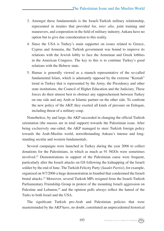- 3. Amongst these fundamentals is the Israeli-Turkish military relationship, represented in treaties that provided for, *inter alia*, joint training and maneuvers, and cooperation in the field of military industry. Ankara have no option but to give due consideration to this reality.
- 4. Since the USA is Turkey's main supporter on issues related to Greece, Cyprus and Armenia, the Turkish government was bound to improve its relations with the Jewish lobby to face the Armenian and Greek lobbies in the American Congress. The key to this is to continue Turkey's good relations with the Hebrew state.
- 5. Hamas is generally viewed as a staunch representative of the so-called fundamental Islam, which is adamantly opposed by the extreme "Kemali" trend in Turkey that is represented by the Army, the Presidency and other state institutions, the Council of Higher Education and the Judiciary. These forces do their utmost best to obstruct any rapprochement between Turkey on one side and any Arab or Islamic partner on the other side. To confront the new policy of the AKP, they exerted all kinds of pressure on Erdogan, including threat of a military coup.

Nonetheless, by and large, the AKP succeeded in changing the official Turkish orientation (the masses are in total support) towards the Palestinian issue. After being exclusively one-sided, the AKP managed to steer Turkish foreign policy towards the Arab-Muslim world, notwithstanding Ankara's intense and longstanding secular and western fundamentals.

Several campaigns were launched in Turkey during the year 2006 to collect donations for the Palestinians, in which as much as 91 NGOs were sometimes involved.22 Demonstrations in support of the Palestinian cause were frequent, particularly after the Israeli attacks on GS following the kidnapping of the Israeli soldier by the end of June. The Turkish Felicity Party (*Saadet Partisi*), for example, organized on 9/7/2006 a huge demonstration in Istanbul that condemned the Israeli brutal attacks.23 Moreover, several Turkish MPs resigned from the Israeli-Turkish Parliamentary Friendship Group in protest of the mounting Israeli aggression on Palestine and Lebanon, $24$  and the opinion polls always reflect the hatred of the Turks to both Israel and the USA.

The significant Turkish pro-Arab and Palestinian policies that were masterminded by the AKP have, no doubt, constituted an unprecedented historical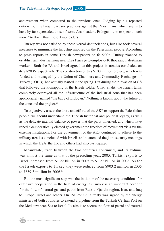achievement when compared to the previous ones. Judging by his repeated criticism of the Israeli barbaric practices against the Palestinians, which seems to have by far superseded those of some Arab leaders, Erdogan is, so to speak, much more "Arabist" than those Arab leaders.

Turkey was not satisfied by those verbal denunciations, but also took several measures to minimize the hardship imposed on the Palestinian people. According to press reports in some Turkish newspapers on 6/1/2006, Turkey planned to establish an industrial zone near Erez Passage to employ 6-10 thousand Palestinian workers. Both the PA and Israel agreed to this project in treaties concluded on 4-5/1/2006 respectively. The construction of this \$100 million project, which was funded and managed by the Union of Chambers and Commodity Exchanges of Turkey (TOBB), had actually started in the spring. But during their invasion of GS that followed the kidnapping of the Israeli soldier Gilad Shalit, the Israeli tanks completely destroyed all the infrastructure of the industrial zone that has been appropriately named "the baby of Erdogan." Nothing is known about the future of the zone and the project. $25$ 

To objectively assess the drive and efforts of the AKP to support the Palestinian people, we should understand the Turkish historical and political legacy, as well as the delicate internal balance of power that the party inherited, and which have robed a democratically elected government the freedom of movement vis a vis the existing institutions. For the government of the AKP continued to adhere to the military treaties concluded with Israeli, and it attended the joint security meetings in which the USA, the UK and others had also participated.

Meanwhile, trade between the two countries continued, and its volume was almost the same as that of the preceding year, 2005. Turkish exports to Israel increased from \$1.22 billion in 2005 to \$1.27 billion in 2006. As for the Israeli exports to Turkey, they were reduced from \$903.2 million in 2005 to \$859.3 million in 2006.26

But the most significant step was the initiation of the necessary conditions for extensive cooperation in the field of energy, as Turkey is an important corridor for the flow of natural gas and petrol from Russia, Qazvin region, Iran, and Iraq to Europe, Israel and others. On 15/12/2006, a treaty was signed by the energy ministers of both countries to extend a pipeline from the Turkish Ceyhan Port on the Mediterranean Sea to Israel. Its aim is to secure the flow of petrol and natural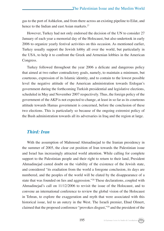gas to the port of Ashkelon, and from there across an existing pipeline to Eilat, and hence to the Indian and east Asian markets.<sup>27</sup>

However, Turkey had not only endorsed the decision of the UN to consider 27 January of each year a memorial day of the Holocaust, but also undertook in early 2006 to organize yearly festival activities on this occasion. As mentioned earlier, Turkey usually support the Jewish lobby all over the world, but particularly in the USA, to help it to confront the Greek and Armenian lobbies in the American Congress.

Turkey followed throughout the year 2006 a delicate and dangerous policy that aimed at two rather contradictory goals, namely, to maintain a minimum, but courteous, expression of its Islamic identity, and to contain to the lowest possible level the negative attitude of the American administration towards Erdogan's government during the forthcoming Turkish presidential and legislative elections, scheduled in May and November 2007 respectively. Thus, the foreign policy of the government of the AKP is not expected to change, at least in so far as its courteous attitude towards Hamas government is concerned, before the conclusion of these two elections. This is particularly so because of the ongoing extremist policy of the Bush administration towards all its adversaries in Iraq and the region at large.

#### *Third: Iran*

With the assumption of Mahmoud Ahmadinejad to the Iranian presidency in the summer of 2005, the clear cut position of Iran towards the Palestinian issue and Israel has increasingly attracted world attention. While calling for complete support to the Palestinian people and their right to return to their land, President Ahmadinejad casted doubt on the viability of the existence of the Jewish state, and considered "its eradiation from the world a foregone conclusion, its days are numbered, and the peoples of the world will be elated by the disappearance of a state that was founded on lies and aggression."28 These declarations, coupled with Ahmadinejad's call on 11/12/2006 to revisit the issue of the Holocaust, and to convene an international conference to review the global vision of the Holocaust in Tehran, to explore the exaggeration and myth that were associated with this historical issue, led to an outcry in the West. The Israeli premier, Ehud Olmert, claimed that the proposed conference "provokes disgust,"29 and the president of the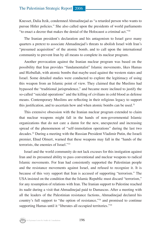Knesset, Dalia Itzik, condemned Ahmadinejad as "a retarded person who wants to pursue Hitler policies." She also called upon the presidents of world parliaments "to enact a decree that makes the denial of the Holocaust a criminal act."30

The Iranian president's declaration and his antagonism to Israel gave many quarters a pretext to associate Ahmadinejad's threats to abolish Israel with Iran's "presumed acquisition" of the atomic bomb, and to call upon the international community to prevent Iran by all means to complete its nuclear program.

Another provocation against the Iranian nuclear program was based on the possibility that Iran provides "fundamentalist" Islamic movements, likes Hamas and Hizbullah, with atomic bombs that maybe used against the western states and Israel. Some detailed studies were conducted to explore the legitimacy of using this weapon from an Islamic point of view. They claimed that the Muslims had bypassed the "traditional jurisprudence," and became more inclined to justify the so-called "suicidal operations" and the killing of civilians in cold blood as defense means. Contemporary Muslims are reflecting in their religious legacy to support this justification, and to ascertain how and when atomic bombs can be used.<sup>31</sup>

This extensive obsession with the Iranian nuclear program extended to claim that nuclear weapons might fall in the hands of non-governmental Islamic organizations that do not care a damn for the new, unexpected and increasing spread of the phenomenon of "self-immolation operations" during the last two decades.32 During a meeting with the Russian President Vladimir Putin, the Israeli premier, Ehud Olmert, warned that these weapons may fall in the "hands of the terrorists, the enemies of Israel."33

Israel and the world community do not lack excuses for this instigation against Iran and its presumed ability to pass conventional and nuclear weapons to radical Islamic movements. For Iran had consistently supported the Palestinian people and the resistance movements against Israel, and refused to recognize it. It is because of this very support that Iran is accused of supporting "terrorism." The USA insisted on the condition that the Islamic Republic must discard "terrorism," for any resumption of relations with Iran. The Iranian support to Palestine reached its nadir during a visit that Ahmadinejad paid to Damascus. After a meeting with all the leaders of the Palestinian resistance factions, Ahmadinejad declared his country's full support to "the option of resistance,"34 and promised to continue supporting Hamas until it "liberates all occupied territories."<sup>35</sup>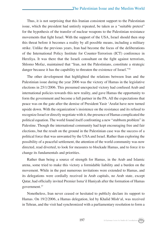Thus, it is not surprising that this Iranian consistent support to the Palestinian issue, which the president had untirely repeated, be taken as a "suitable pretext" for the hypothesis of the transfer of nuclear weapons to the Palestinian resistance movements that fight Israel. With the support of the USA, Israel should then stop this threat before it becomes a reality by all possible means, including a military strike. Unlike the previous years, Iran had become the focus of the deliberations of the International Policy Institute for Counter-Terrorism (ICT) conference in Herzliya. It was there that the Israeli consultant on the fight against terrorism, Shlomo Mofaz, maintained that "Iran, not the Palestinians, constitute a strategic danger because it has the capability to threaten the existence of Israel."36

The other development that highlighted the relations between Iran and the Palestinian issue during the year 2006 was the victory of Hamas in the legislative elections in 25/1/2006. This presumed unexpected victory had confused Arab and international policies towards this new reality, and gave Hamas the opportunity to form the government and become a full partner in the PA. All the expectations that peace was on the gate after the demise of President Yasir 'Arafat have now turned upside down. With the organization's insistence on the resistance and its refusal to recognize Israel or directly negotiate with it, the presence of Hamas complicated the political equation. The world found itself confronting a new "stubborn problem" in Palestine. Though the international community had kept encouraging free and fair elections, but the result on the ground in the Palestinian case was the success of a political force that was unwanted by the USA and Israel. Rather than exploring the possibility of a peaceful settlement, the attention of the world community was now directed, read diverted, to look for measures to blockade Hamas, and to force it to change its fundamentals and priorities.

Rather than being a source of strength for Hamas, in the Arab and Islamic arena, some tried to make this victory a formidable liability and a burden on the movement. While in the past numerous invitations were extended to Hamas, and its delegations were cordially received in Arab capitals, no Arab state, except Qatar, had officially invited Premier Isma'il Haniyah after the formation of Hamas government.37

Nonetheless, Iran never ceased or hesitated to publicly declare its support to Hamas. On 19/2/2006, a Hamas delegation, led by Khalid Mish'al, was received in Tehran, and the visit had synchronized with a parliamentary resolution to form a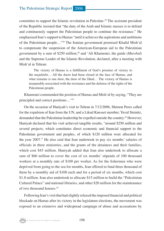committee to support the Islamic revolution in Palestine.38 The assistant president of the Republic insisted that "the duty of the Arab and Islamic masses is to defend and continuously support the Palestinian people to continue the resistance." He emphasized Iran's support to Hamas "until it achieves the aspirations and ambitions of the Palestinian people…"39 The Iranian government promised Khalid Mish'al to compensate the suspension of the American-European aid to the Palestinian government by a sum of \$250 million,<sup>40</sup> and 'Ali Khamenei, the guide (*Murshid*) and the Supreme Leader of the Islamic Revolution, declared, after a meeting with Mish'al in Tehran:

The victory of Hamas is a fulfillment of God's promise of victory to the *mujahidin*… All the doors had been closed in the face of Hamas, and what remains is one door, the door of the Jihad… The victory of Hamas is inseparably associated with the resistance and the defense of the rights of the Palestinian people.

Khamenei commended the position of Hamas and Mish'al by saying, "They are principled and correct positions…"41

On the occasion of Haniyah's visit to Tehran in 7/12/2006, Shimon Peres called for the expulsion of Iran from the UN, and a Likud Knesset member, Yuval Steinitz, demanded that the Palestinian leadership be expelled outside the country.42 However, Haniyah declared that his visit achieved tangible results, "around \$250 million and several projects, which constitutes direct economic and financial support to the Palestinian government and peoples, of which \$120 million were allocated for the year 2007." He also said that Iran undertook to pay six months' salaries of officials in three ministries, and the grants of the detainees and their families, which cost \$45 million. Haniyah added that Iran also undertook to allocate a sum of \$60 million to cover the cost of six months' stipends of 100 thousand workers at a monthly rate of \$100 per worker. As for the fishermen who were deprived from going to the sea for months, Iran offered to fund three thousand of them by a monthly aid of \$100 each and for a period of six months, which cost \$1.8 million. Iran also undertook to allocate \$15 million to build the "Palestinian Cultural Palace" and national libraries, and other \$20 million for the maintenance of two thousand houses.43

Following Iran's visit that had slightly relaxed the imposed financial and political blockade on Hamas after its victory in the legislature elections, the movement was exposed to an extensive and widespread campaign of abuse and accusations by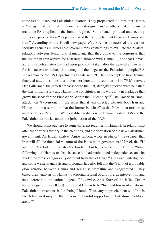some Israeli, Arab and Palestinian quarters. They propagated at times that Hamas is "an agent of Iran that implements its designs," and at others that it "plans to make the PA a replica of the Iranian regime." Some Israeli political and security sources expressed their "deep concern of the rapprochement between Hamas and Iran." According to the Israeli newspaper *Haaretz*, the directors of the various security agencies in Israel held several intensive meetings to evaluate the bilateral relations between Tehran and Hamas, and that they come to the consensus that the regime in Iran aspires for a strategic alliance with Hamas…, and that Hamas' action is a defiant step that had been jubilantly taken after the general enthusiasm for its success to reduce the damage of the siege on the Palestinian people.44 A spokesman for the US Department of State said, "If Hamas accepts to have Iranian financial aid, this shows that it does not intend to discard terrorism."45 Moreover, Dan Gillerman, the Israeli ambassador to the UN, strongly attacked what he called the axis of Iran, Syria and Hamas that constitutes, in his words, "a new plague that grows the seeds for the First World War in the  $21<sup>st</sup>$  century.<sup>746</sup> The American-Israeli attack was "two-in-one" in the sense that it was directed towards both Iran and Hamas on the assumption that the former is "close" to the Palestinian territories, and the latter is "committed" to establish a state on the Iranian model in GS and the Palestinian territories under the jurisdiction of the PA.<sup>47</sup>

We should point out here to some different readings of Hamas-Iran relationship after the former's victory in the elections, and the formation of the new Palestinian government. An Israeli analyst, Amos Gilboa, wrote in *Ma'ariv* newspaper that Iran will fill the financial vacuum of the Palestinian government if Israel, the EU and the USA failed to transfer the funds…, but he expressed doubt in the "blind following" of Hamas to Iran because it "had maintained independence, and its work program is categorically different from that of Iran."48 The Israeli intelligence and some western analysts and diplomats had also felt that the "claim of a probable close relation between Hamas and Tehran is premature and exaggerated." They based their analysis on Hamas "traditional refusal of any foreign intervention and its adherence to the national agenda." Likewise, Anat Kurz of the Jaffee Center for Strategic Studies (JCSS) considered Hamas to be "first and foremost a national Palestinian movement, before being Islamic. Thus, any rapprochement with Iran is farfetched, as it may rob the movement its solid support in the Palestinian political arena."49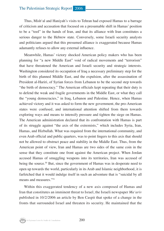Thus, Mish'al and Haniyah's visits to Tehran had exposed Hamas to a barrage of criticism and accusation that focused on a presumable shift in Hamas' position to be a "tool" in the hands of Iran, and that its alliance with Iran constitutes a serious danger to the Hebrew state. Conversely, some Israeli security analysts and politicians argued that this presumed alliance is exaggerated because Hamas adamantly refuses to allow any external influence.

Meanwhile, Hamas' victory shocked American policy makers who has been planning for "a new Middle East" void of radical movements and "terrorism" that have threatened the American and Israeli security and strategic interests. Washington considered its occupation of Iraq a necessary preliminary step for the birth of this planned Middle East, and the expulsion, after the assassination of President al-Hariri, of Syrian forces from Lebanon to be the second step towards "the birth of democracy." The American officials kept repeating that their duty is to defend the weak and fragile governments in the Middle East, or what they call the "young democracies," in Iraq, Lebanon and Palestine. Hence, when Hamas achieved victory and it was asked to form the new government, the pro-American states were confused, and international attention shifted from them towards exploring ways and means to intensify pressure and tighten the siege on Hamas. The American administration declared that its confrontation with Hamas is part of its struggle against "the axis of the extremists," which includes Syria, Iran, Hamas, and Hizbullah. What was required from the international community, and even Arab official and public quarters, was to point fingers to this axis that should not be allowed to obstruct peace and stability in the Middle East. Thus, from the American point of view, Iran and Hamas are two sides of the same coin in the sense that they constitute one front against the American project. When Jordan accused Hamas of smuggling weapons into its territories, Iran was accused of being the source.<sup>50</sup> But, since the government of Hamas was in desperate need to open up towards the world, particularly in its Arab and Islamic neighborhood, it is farfetched that it would indulge itself in such an adventure that is "suicidal by all means and measures."51

Within this exaggerated tendency of a new axis composed of Hamas and Iran that constitutes an imminent threat to Israel, the Israeli newspaper *Ma'ariv* published in 10/2/2006 an article by Ben Caspit that spoke of a change in the fronts that surrounded Israel and threaten its security. He maintained that the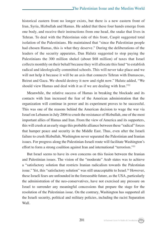historical eastern front no longer exists, but there is a new eastern front of Iran, Syria, Hizbullah and Hamas. He added that these four hands emerge from one body, and receive their instructions from one head, the snake that lives in Tehran. To deal with the Palestinian side of this front, Caspit suggested total isolation of the Palestinians. He maintained that "since the Palestinian people had chosen Hamas, this is what they deserve." During the deliberations of the leaders of the security apparatus, Dan Halutz suggested to stop paying the Palestinians the 300 million shekel (about \$68 million) of taxes that Israel collects monthly on their behalf because they will allocate this fund "to establish radical and ideologically committed schools. This will never take place and we will not help it because it will be an axis that connects Tehran with Damascus, Beirut and Gaza. We should destroy it now and right now." Halutz added, "We should view Hamas and deal with it as if we are dealing with Iran."52

Meanwhile, the relative success of Hamas in breaking the blockade and its contacts with Iran increased the fear of the American administration that the organization will continue in power and its experiment proves to be successful. This was one of the reasons behind the American decision to wage the war via Israel on Lebanon in July 2006 to crush the resistance of Hizbullah, one of the most important allies of Hamas and Iran. From the view of America and its supporters, this will crush at an early stage this probable alliance between these "radical" forces that hamper peace and security in the Middle East. Thus, even after the Israeli failure to crush Hizbullah, Washington never separated the Palestinian and Iranian issues. For progress along the Palestinian-Israeli route will facilitate Washington's effort to form a strong coalition against Iran and international "terrorism."53

But Israel seems to have its own concerns on this fusion between the Iranian and Palestinian issues. The vision of the "moderate" Arab states was to achieve a "satisfactory solution that restricts Iranian radicalism towards the Palestinian issue." Yet, this "satisfactory solution" was still unacceptable to Israel.<sup>54</sup> However, these Israeli fears are unfounded in the foreseeable future, as the USA, particularly the administration of the neo-conservatives, have not exercised any pressure on Israel to surrender any meaningful concessions that prepare the stage for the resolution of the Palestinian issue. On the contrary, Washington has supported all the Israeli security, political and military policies, including the racist Separation Wall.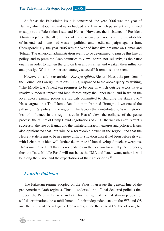As far as the Palestinian issue is concerned, the year 2006 was the year of Hamas, which stood fast and never budged, and Iran, which persistently continued to support the Palestinian issue and Hamas. However, the insistence of President Ahmadinejad on the illegitimacy of the existence of Israel and the inevitability of its end had intensified western political and media campaign against Iran. Correspondingly, the year 2006 was the year of intensive pressure on Hamas and Tehran. The American administration seems to be determined to pursue this line of policy, and to press the Arab countries to view Tehran, not Tel Aviv, as their first enemy in order to tighten the grip on Iran and its allies and weaken their influence and prestige. Will this American strategy succeed? It remains to be seen.

However, in a famous article in *Foreign Affairs*, Richard Haass, the president of the Council on Foreign Relations (CFR), responded to the above query by writing, "The Middle East's next era promises to be one in which outside actors have a relatively modest impact and local forces enjoy the upper hand, and in which the local actors gaining power are radicals committed to changing the status quo." Haass argued that The Islamic Revolution in Iran had "brought down one of the pillars of U.S. policy in the region." The factors that contributed to Washington's' loss of influence in the region are, in Haass' view, the collapse of the peace process, the failure of Camp David negotiations of 2000, the weakness of 'Arafat's successor, the rise of Hamas and the unilateral Israeli measures and policies. Haass also opinionated that Iran will be a formidable power in the region, and that the Hebrew state seems to be in a more difficult situation than it had been before its war with Lebanon, which will further deteriorate if Iran developed nuclear weapons. Haass maintained that there is no tendency in the horizon for a real peace process, thus the "new Middle East" will not be as the USA and Israel want, rather it will be along the vision and the expectations of their adversaries.<sup>55</sup>

#### *Fourth: Pakistan*

The Pakistani regime adopted on the Palestinian issue the general line of the pro-American Arab regimes. Thus, it endorsed the official declared policies that support the Palestinian issue and call for the right of the Palestinian people for self-determination, the establishment of their independent state in the WB and GS and the return of the refugees. Conversely, since the year 2005, the official, but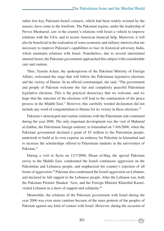rather low-key Pakistani-Israeli contacts, which had been widely resisted by the masses, have come to the forefront. The Pakistani regime, under the leadership of Pervez Musharraf, saw in the country's relations with Israel a vehicle to improve relations with the USA, and to secure American financial help. Moreover, it will also be beneficial in the realization of some economic and military interests that are necessary to improve Pakistan's capabilities to face its historical adversary India, which maintains relations with Israel. Nonetheless, due to several interrelated internal factor, the Pakistani government approached this subject with considerable care and caution.

Thus, Tasnim Aslam, the spokesperson of the Pakistani Ministry of Foreign Affairs, welcomed the stage that will follow the Palestinian legislative elections and the victory of Hamas. In an official communiqué, she said, "The government and people of Pakistan welcome the fair and completely peaceful Palestinian legislative elections. This is the practical democracy that we welcome, and we hope that the outcome of the elections will lead to the continuation of the peace process in the Middle East." However, this carefully worded declaration did not include any word of congratulation to Hamas for its victory in these elections.<sup>56</sup>

Pakistan's stereotyped and routine relations with the Palestinian side continued during the year 2006. The only important development was the visit of Mahmud al-Zahhar, the Palestinian foreign minister, to Islamabad on 7-8/6/2006, when the Pakistani government declared a grant of \$3 million to the Palestinian people, undertook to build at its own expense an embassy for Palestine in Islamabad and to increase the scholarships offered to Palestinian students in the universities of Pakistan.57

During a visit to Syria on 13/7/2006, Ehsan ul-Haq, the special Pakistani envoy to the Middle East, condemned the Israeli continuous aggression on the Palestinian and Lebanese people, and emphasized his country's rejection of all forms of aggression.58 Pakistan also condemned the Israeli aggression on Lebanon, and declared its full support to the Lebanese people. After the Lebanon war, both the Pakistani Premier Shaukat 'Aziz, and the Foreign Minister Khurshid Kasuri, visited Lebanon in a show of support and solidarity.59

Meanwhile, the relations of the Pakistani government with Israel during the year 2006 was even more cautious because of the mass protests of the peoples of Pakistan against any kind of contact with Israel. However, during the occasion of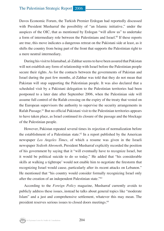Davos Economic Forum, the Turkish Premier Erdogan had reportedly discussed with President Musharraf the possibility of "an Islamic initiative," under the auspices of the OIC, that as mentioned by Erdogan "will allow us" to undertake a form of intermediary role between the Palestinians and Israel.<sup>60</sup> If these reports are true, this move indicates a dangerous retreat on the Pakistani side at least, as it shifts the country from being part of the front that supports the Palestinian right to a mere neutral intermediary.

During his visit to Islamabad, al-Zahhar seems to have been assured that Pakistan will not establish any form of relationship with Israel before the Palestinian people secure their rights. As for the contacts between the governments of Pakistan and Israel during the past few months, al-Zahhar was told that they do not mean that Pakistan will stop supporting the Palestinian people. It was also declared that a scheduled visit by a Pakistani delegation to the Palestinian territories had been postponed to a later date after September 2006, when the Palestinian side will assume full control of the Rafah crossing on the expiry of the treaty that vested on the European supervisors the authority to supervise the security arrangements in Rafah Passage.61 But no official Pakistani visit to the Palestinian territories appears to have taken place, as Israel continued its closure of the passage and the blockage of the Palestinian people.

However, Pakistan repeated several times its rejection of normalization before the establishment of a Palestinian state.<sup>62</sup> In a report published by the American newspaper *Los Angeles Times*, of which a resume was given in the Israeli newspaper *Yedioth Ahronoth*, President Musharraf explicitly recorded the position of his government by saying that it "will eventually have to recognize Israel, but it would be political suicide to do so today." He added that "his considerable skills at walking a tightrope' would not enable him to negotiate the firestorm that recognizing Israel would cause, particularly after its recent attacks on Lebanon." He mentioned that "his country would consider formally recognizing Israel only after the creation of an independent Palestinian state."63

According to the *Foreign Policy* magazine, Musharraf currently avoids to publicly address these issues, instead he talks about general topics like "moderate Islam" and a just and comprehensive settlement, whatever this may mean. The president reserves serious issues to closed doors meetings.<sup>64</sup>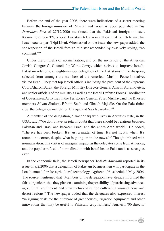Before the end of the year 2006, there were indications of a secret meeting between the foreign ministers of Pakistan and Israel. A report published in *The Jerusalem Post* of 27/12/2006 mentioned that the Pakistani foreign minister, Kasuri, told Geo TV, a local Pakistani television station, that he lately met his Israeli counterpart Tzipi Livni. When asked on the issue, the newspaper added, the spokesperson of the Israeli foreign minister responded by evasively saying, "no comment."65

Under the umbrella of normalization, and on the invitation of the American Jewish Congress's Council for World Jewry, which strives to improve Israeli-Pakistani relations, an eight-member delegation of the Pakistanis in the diaspora, selected from amongst the members of the American Muslim Peace Initiative, visited Israel. They met top Israeli officials including the president of the Supreme Court Aharon Barak, the Foreign Ministry Director-General Aharon Abramovitch, and senior officials of the ministry as well as the Israeli Defense Forces Coordinator of Government Activities in the Territories General Yusef Mishlav, and the Knesset members Silvan Shalom, Efraim Sneh and Ghaleb Majadle. On the Palestinian side, the delegation met Sa'ib 'Urayqat and Sari Nusseibeh.<sup>66</sup>

A member of the delegation, 'Umar 'Atiq who lives in Arkansas state, in the USA, said, "We don't have an iota of doubt that there should be relations between Pakistan and Israel and between Israel and the entire Arab world." He added, "The ice has been broken. It's just a matter of time. It's not if, it's when. It's around the corner, despite what is going on in the news."67 Though imbued with normalization, this visit is of marginal impact as the delegates come from America, and the popular refusal of normalization with Israel inside Pakistan is as strong as ever.

In the economic field, the Israeli newspaper *Yedioth Ahronoth* reported in its issue of 8/2/2006 that a delegation of Pakistani businessmen will participate in the Israeli annual fair for agricultural technology, Agritech '06, scheduled May 2006. The source mentioned that "Members of the delegation have already informed the fair's organizers that they plan on examining the possibility of purchasing advanced agricultural equipment and new technologies for cultivating mountainous and desert regions." The newspaper added that the delegates also expressed interest "in signing deals for the purchase of greenhouses, irrigation equipment and other innovations that may be useful to Pakistani crop farmers." Agritech '06 director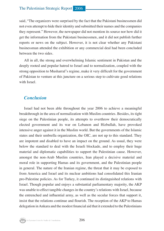said, "The organizers were surprised by the fact that the Pakistani businessmen did not even attempt to hide their identity and submitted their names and the companies they represent." However, the newspaper did not mention its source nor how did it get the information from the Pakistani businessmen, and it did not publish further reports or news on the subject. However, it is not clear whether any Pakistani businessman attended the exhibition or any commercial deal had been concluded between the two sides.

All in all, the strong and overwhelming Islamic sentiment in Pakistan and the deeply rooted and popular hatred to Israel and to normalization, coupled with the strong opposition to Musharraf's regime, make it very difficult for the government of Pakistan to venture at this juncture on a serious step to cultivate good relations with Israel.

#### *Conclusion*

Israel had not been able throughout the year 2006 to achieve a meaningful breakthrough in the area of normalization with Muslim countries. Besides, its tight siege on the Palestinian people, its attempts to overthrow their democratically elected government and its war on Lebanon and Hizbullah, have provoked intensive anger against it in the Muslim world. But the governments of the Islamic states and their umbrella organization, the OIC, are not up to this standard. They are impotent and disabled to have an impact on the ground. As usual, they were below the standard to deal with the Israeli blockade, and to employ their huge material and diplomatic capabilities to support the Palestinian cause. However, amongst the non-Arab Muslim countries, Iran played a decisive material and moral role in supporting Hamas and its government, and the Palestinian people in general. The nature of the Iranian regime, the threat that it may be exposed to from America and Israel and its nuclear ambitions had consolidated this Iranian pro-Palestine policies. As for Turkey, it continued its distinguished relations with Israel. Though popular and enjoys a substantial parliamentary majority, the AKP was unable to effect tangible changes in the country's relations with Israel, because the entrenched and influential army, as well as the secular forces that support it, insist that the relations continue and flourish. The reception of the AKP to Hamas delegation in Ankara and the modest financial aid that it extended to the Palestinians

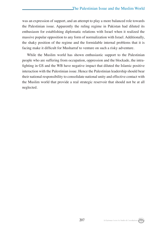was an expression of support, and an attempt to play a more balanced role towards the Palestinian issue. Apparently the ruling regime in Pakistan had diluted its enthusiasm for establishing diplomatic relations with Israel when it realized the massive popular opposition to any form of normalization with Israel. Additionally, the shaky position of the regime and the formidable internal problems that it is facing make it difficult for Musharraf to venture on such a risky adventure.

While the Muslim world has shown enthusiastic support to the Palestinian people who are suffering from occupation, oppression and the blockade, the intrafighting in GS and the WB have negative impact that diluted the Islamic positive interaction with the Palestinian issue. Hence the Palestinian leadership should bear their national responsibility to consolidate national unity and effective contact with the Muslim world that provide a real strategic reservoir that should not be at all neglected.

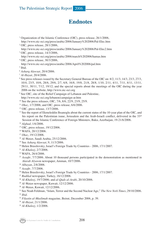## **Endnotes**

- <sup>1</sup> Organization of the Islamic Conference (OIC), press release, 26/1/2006, http://www.oic-oci.org/press/arabic/2006/January%202006/Pal-Elec.htm
- 2 OIC, press release, 28/1/2006,
- http://www.oic-oci.org/press/arabic/2006/January%202006/Pal-Elec2.htm 3 OIC, press release, 14/3/2006,
- http://www.oic-oci.org/press/arabic/2006/march%202006/hamas.htm
- 4 OIC, press release, 30/3/2006,
- http://www.oic-oci.org/press/arabic/2006/April%202006/pal.htm
- 5 Ibid.
- <sup>6</sup> *Asharq Alawsat*, 20/4/2006.
- <sup>7</sup> *Al-Hayat*, 20/4/2006.
- 8 See press releases issued by the Secretary General Bureau of the OIC on: 8/2, 11/3, 14/3, 23/3, 27/3, 10/4, 23/5, 10/6, 28/6, 29/6, 2/7, 6/8, 16/8, 19/8, 21/8, 28/8, 1/10, 2/11, 4/11, 7/11, 8/11, 13/11, 29/11, 30/11, 7/12, 19/12; and the special reports about the meetings of the OIC during the year 2006 on the website, http://www.oic-oci.org
- 9 See OIC, site of the Relief Campaign of Lebanon and Palestine, http://www.oic-oci.org/lebanon/campaign-ar.htm
- <sup>10</sup> See the press releases, OIC, 7/6, 8/6, 22/9, 23/9, 25/9.
- <sup>11</sup> *Okaz*, 1/7/2006; and OIC, press release, 6/6/2006.
- <sup>12</sup> OIC, press release, 13/7/2006.
- <sup>13</sup> See the report of Ekmeleddin Ihsanoglu about the current status of the 10-year plan of the OIC, and his report on the Palestinian isuue, Jerusalem and the Arab-Israeli conflict, delivered in the  $33<sup>rd</sup>$ Session of the Islamic Conference of Foreign Ministers, Baku, Azerbaijan, 19-21/6/2006.
- <sup>14</sup> *Alghad*, 1/6/2006.
- <sup>15</sup> OIC, press release, 19/12/2006.
- <sup>16</sup> WAFA, 20/12/2006.
- <sup>17</sup> *Okaz*, 19/12/2006.
- <sup>18</sup> *Al-Watan*, Saudi Arabia, 25/12/2006.
- 19 See *Asharq Alawsat*, 9, 11/3/2006.
- <sup>20</sup> Helen Brusilovsky, Israel's Foreign Trade by Countries 2006, 17/1/2007.
- <sup>21</sup> *Al-Khaleej*, 2/7/2006.
- <sup>22</sup> WAFA, 26/4/2006.
- <sup>23</sup> *Assafir*, 7/7/2006. About 10 thousand persons participated in the demonstration as mentioned in *Alarab Alyawm* newspaper, Amman, 10/7/2006.
- <sup>24</sup> *Albayan*, 2/8/2006.
- <sup>25</sup> *Assafir*, 7/7/2006.
- <sup>26</sup> Helen Brusilovsky, Israel's Foreign Trade by Countries 2006, 17/1/2007.
- <sup>27</sup> *Radikal* newspaper, Turkey, 16/12/2006.
- <sup>28</sup> *Al-Khaleej*, 19/7/2006; and *al-Quds al-Arabi*, 20/10/2006.
- <sup>29</sup> *Al-Watan* newspaper, Kuwait, 12/12/2006.
- <sup>30</sup> *Al-Watan*, Kuwait, 12/12/2006.
- 31 See Noah Feldman, "Islam, Terror and the Second Nuclear Age," *The New York Times*, 29/10/2006.
- <sup>32</sup> *Ibid*.
- <sup>33</sup> *Filastin al-Muslimah* magazine, Beirut, December 2006, p. 39. 34 *Al-Hayat*, 21/1/2006.
- 
- <sup>35</sup> *Al-Khaleej*, 1/2/2006.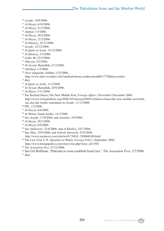- *Assafir*, 16/9/2006.
- *Al-Hayat*, 6/10/2006.
- *Al-Hayat*, 21/2/2006.
- *Alghad*, 1/3/2006.
- *Al-Hayat*, 28/2/2006.
- *Al-Hayat*, 21/2/2006.
- *Al-Khaleej*, 16/12/2006.
- *Assafir*, 12/12/2006.
- *Al-Quds al-Arabi*, 15/12/2006.
- *Al-Khaleej*, 2/3/2006.
- Arabs 48, 22/2/2006.
- *Albayan*, 9/2/2006.
- *Al-Ayyam*, Ramallah, 21/2/2006.
- *Alittihad*, 1/3/2006.
- *Alasr* magazine, Jeddah, 12/5/2006,
- http://www.alasr.ws/index.cfm?method=home.con&contentID=7770&keywords=
- *Ibid*.
- *Al-Quds al-Arabi*, 11/2/2006.
- *Al-Ayyam*, Ramallah, 20/9/2006.
- *Al-Hayat*, 5/11/2006.
- 55 See Richard Haass**,** The New Middle East, *Foreign Affairs*, November/ December 2006, http://www.foreignaffairs.org/20061101faessay85601/richard-n-haass/the-new-middle-east.html; see also the Arabic translation in *Assafir*, 11/11/2006.
- PIC, 1/2/2006.
- *Al-Hayat*, 8/6/2006.
- *Al-Watan*, Saudi Arabia, 14/7/2006.
- 59 See *Assafir*, 17/8/2006; and *Annahar*, 5/9/2006.
- *Al-Hayat*, 28/1/2006.
- *Al-Hayat*, 8/6/2006.
- 62 See *Addustour*, 22/8/2006; and *al-Khaleej*, 24/7/2006.
- 63 See *Okaz*, 29/9/2006; and *Yedioth Ahronoth*, 27/9/2006,
- http://www.ynetnews.com/articles/0,7340,L-3308668,00.html 64 The List: Four U.N. Speeches to Watch, *Foreign Policy*, September 2006,
- http://www.foreignpolicy.com/story/cms.php?story\_id=3581
- *The Jerusalem Post*, 27/12/2006.

66 See Gil Hoffman, "Pakistan to soon establish Israel ties," *The Jerusalem Post*, 2/7/2006. *Ibid*.

Al-Zaytouna Centre for Studies & Consultations